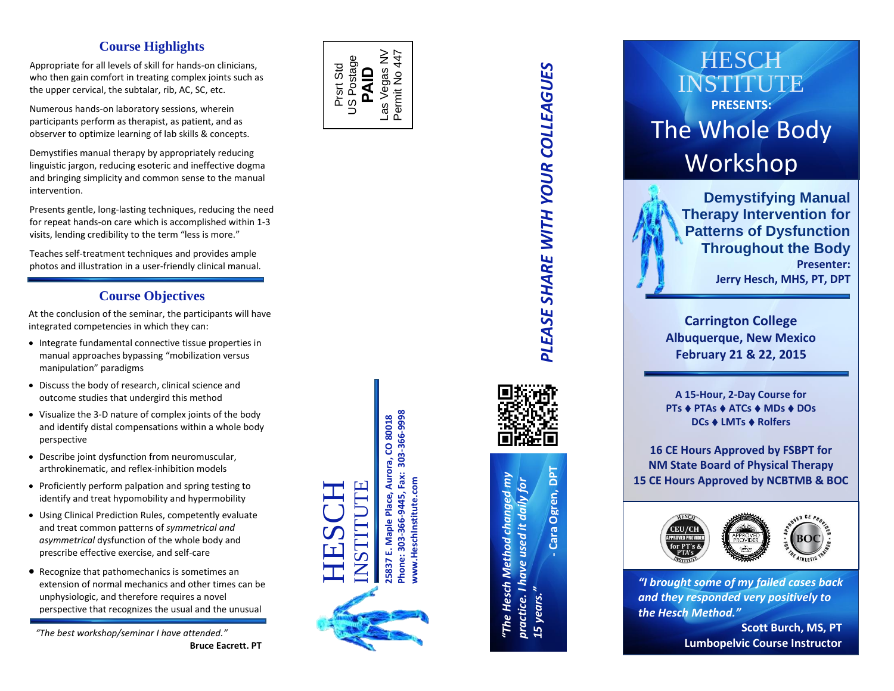### **Course Highlights**

Appropriate for all levels of skill for hands -on clinicians , who then gain comfort in treating complex joints such as the upper cervical, the subtalar, rib, AC, SC, etc.

Numerous hands -on laboratory sessions, wherein participants perform as therapist, as patient, and as observer to optimize learning of lab skills & concepts.

 Demystifies manual therapy by appropriately reducing linguistic jargon, reducing esoteric and ineffective dogma and bringing simplicity and common sense to the manual intervention .

Presents gentle, long -lasting techniques, reducing the need for repeat hands -on care which is accomplished within 1 -3 visit s, lending credibility to the term "less is more . "

Teaches self -treatment techniques and provides ample photos and illustration in a user -friendly clinical manual .

### **Course Objectives**

At the conclusion of the seminar, the participants will have integrated competencies in which they can:

- Integrate fundamental connective tissue properties in manual approaches bypassing "mobilization versus manipulation" paradigms
- Discuss the body of research, clinical science and outcome studies that undergird this method
- Visualize the 3 -D nature of complex joints of the body and identify distal compensations within a whole body perspective
- Describe joint dysfunction from neuromuscular, arthrokinematic , and reflex -inhibition models
- Proficiently perform palpation and spring testing to identify and treat hypomobility and hypermobility
- Using Clinical Prediction Rules, competently evaluate and treat common patterns of *symmetrical and asymmetrical* dysfunction of the whole body and prescribe effective exercise, and self -care
- Recognize that pathomechanics is sometimes an extension of normal mechanics and other times can be unphysiologic , and therefore requires a novel perspective that recognizes the usual and the unusual

*"The best workshop/seminar I have attended."* **Bruce Eacrett, PT** 



**25837 E. Maple Place, Aurora, CO 80018 Phone: 303-366-9445, Fax: 303-366-9998**

5837 E. Phone:

303-366-9445, Fax: 303-366-9998 Maple Place, Aurora, CO 80018

**www.HeschInstitute.com**

www.Heschinstitute.com

HESCH INSTITUTE





 **Cara Ogren, DPT** Cara Ogren, DPT *"The Hesch Method changed my practice. I have used it daily for*  "The Hesch Method changed m practice. I have used it daily for *15 years."*

# **HESCH** INSTITUTE **PRESENTS:** The Whole Body Workshop



**Carrington Colleg e Albuquerque, New Mexico February 21 & 22, 2015**

**A 15 -Hour, 2 -Day Course for PTs ♦ PTAs ♦ ATCs ♦ MDs ♦ DOs DCs ♦ LMTs ♦ Rolfers** 

**1 6 CE Hours Approved by FSBPT for NM State Board of Physical Therapy 15 CE Hours Approved by NCBTMB & BOC**



*"I brought some of my failed cases back and they responded very positively to the Hesch Method."*

> **Scott Burch, MS, P T Lumbopelvic Course Instructor**